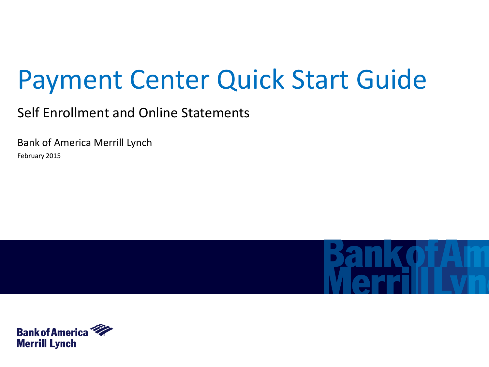# Payment Center Quick Start Guide

Self Enrollment and Online Statements

Bank of America Merrill Lynch February 2015



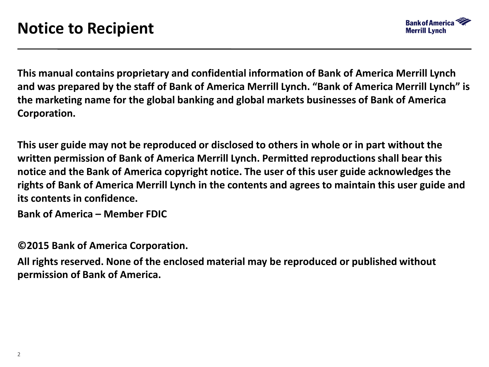

**This manual contains proprietary and confidential information of Bank of America Merrill Lynch and was prepared by the staff of Bank of America Merrill Lynch. "Bank of America Merrill Lynch" is the marketing name for the global banking and global markets businesses of Bank of America Corporation.** 

**This user guide may not be reproduced or disclosed to others in whole or in part without the written permission of Bank of America Merrill Lynch. Permitted reproductions shall bear this notice and the Bank of America copyright notice. The user of this user guide acknowledges the rights of Bank of America Merrill Lynch in the contents and agrees to maintain this user guide and its contents in confidence.**

**Bank of America – Member FDIC**

**©2015 Bank of America Corporation.** 

**All rights reserved. None of the enclosed material may be reproduced or published without permission of Bank of America.**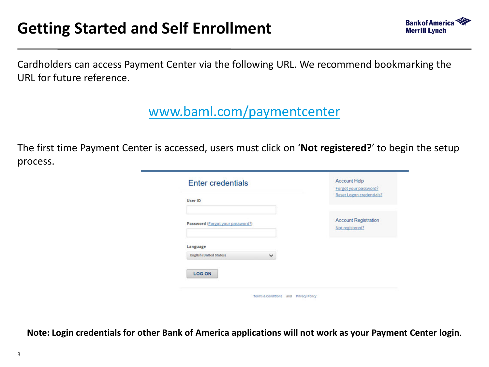

Cardholders can access Payment Center via the following URL. We recommend bookmarking the URL for future reference.

[www.baml.com/paymentcenter](http://www.baml.com/paymentcenter)

The first time Payment Center is accessed, users must click on '**Not registered?**' to begin the setup process.

| User ID                                        | Forgot your password?<br><b>Reset Logon credentials?</b> |
|------------------------------------------------|----------------------------------------------------------|
| Password (Forgot your password?)               | <b>Account Registration</b><br>Not registered?           |
| Language                                       |                                                          |
| <b>English (United States)</b><br>$\checkmark$ |                                                          |
| <b>LOG ON</b>                                  |                                                          |

**Note: Login credentials for other Bank of America applications will not work as your Payment Center login**.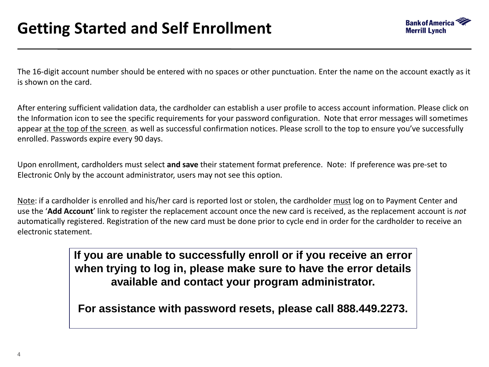

The 16-digit account number should be entered with no spaces or other punctuation. Enter the name on the account exactly as it is shown on the card.

After entering sufficient validation data, the cardholder can establish a user profile to access account information. Please click on the Information icon to see the specific requirements for your password configuration. Note that error messages will sometimes appear at the top of the screen as well as successful confirmation notices. Please scroll to the top to ensure you've successfully enrolled. Passwords expire every 90 days.

Upon enrollment, cardholders must select **and save** their statement format preference. Note: If preference was pre-set to Electronic Only by the account administrator, users may not see this option.

Note: if a cardholder is enrolled and his/her card is reported lost or stolen, the cardholder must log on to Payment Center and use the '**Add Account**' link to register the replacement account once the new card is received, as the replacement account is *not* automatically registered. Registration of the new card must be done prior to cycle end in order for the cardholder to receive an electronic statement.

> **If you are unable to successfully enroll or if you receive an error when trying to log in, please make sure to have the error details available and contact your program administrator.**

**For assistance with password resets, please call 888.449.2273.**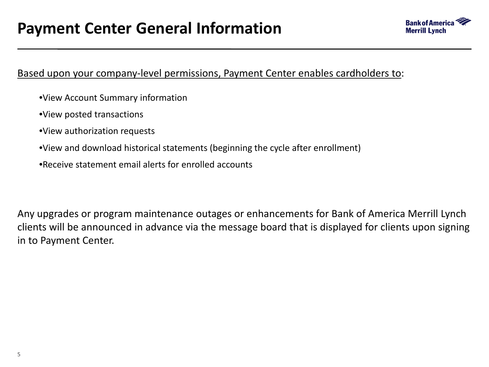

# Based upon your company-level permissions, Payment Center enables cardholders to:

- •View Account Summary information
- •View posted transactions
- •View authorization requests
- •View and download historical statements (beginning the cycle after enrollment)
- •Receive statement email alerts for enrolled accounts

Any upgrades or program maintenance outages or enhancements for Bank of America Merrill Lynch clients will be announced in advance via the message board that is displayed for clients upon signing in to Payment Center.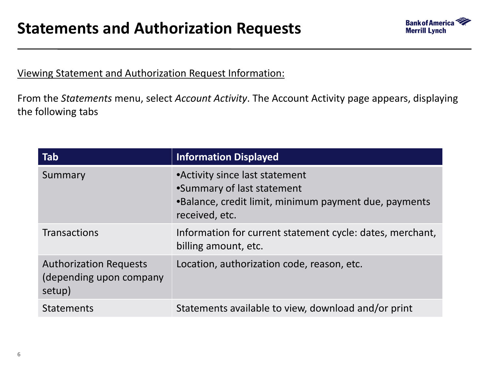

# Viewing Statement and Authorization Request Information:

From the *Statements* menu, select *Account Activity*. The Account Activity page appears, displaying the following tabs

| Tab                                                                | <b>Information Displayed</b>                                                                                                             |
|--------------------------------------------------------------------|------------------------------------------------------------------------------------------------------------------------------------------|
| Summary                                                            | • Activity since last statement<br>•Summary of last statement<br>.Balance, credit limit, minimum payment due, payments<br>received, etc. |
| <b>Transactions</b>                                                | Information for current statement cycle: dates, merchant,<br>billing amount, etc.                                                        |
| <b>Authorization Requests</b><br>(depending upon company<br>setup) | Location, authorization code, reason, etc.                                                                                               |
| <b>Statements</b>                                                  | Statements available to view, download and/or print                                                                                      |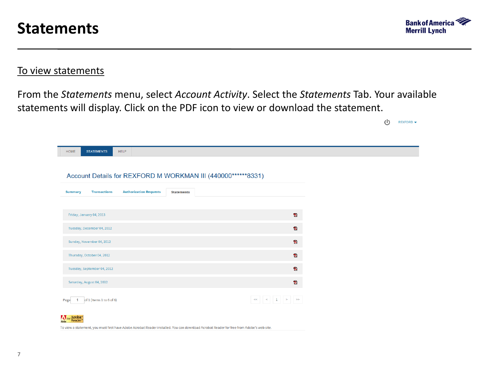

 $(1)$ 

 $REXFORM \rightarrow$ 

### To view statements

From the *Statements* menu, select *Account Activity*. Select the *Statements* Tab. Your available statements will display. Click on the PDF icon to view or download the statement.

| HOME<br><b>STATEMENTS</b>                                    | <b>HELP</b>                   |                   |                         |
|--------------------------------------------------------------|-------------------------------|-------------------|-------------------------|
|                                                              |                               |                   |                         |
| Account Details for REXFORD M WORKMAN III (440000******8331) |                               |                   |                         |
|                                                              |                               |                   |                         |
| <b>Transactions</b><br><b>Summary</b>                        | <b>Authorization Requests</b> | <b>Statements</b> |                         |
|                                                              |                               |                   |                         |
| Friday, January 04, 2013                                     |                               |                   | $\mathbf{z}$            |
|                                                              |                               |                   |                         |
| Tuesday, December 04, 2012                                   |                               |                   | T.                      |
| Sunday, November 04, 2012                                    |                               |                   | $\overline{\mathbf{z}}$ |
|                                                              |                               |                   |                         |
| Thursday, October 04, 2012                                   |                               |                   | t.                      |
| Tuesday, September 04, 2012                                  |                               |                   | $\mathbf{z}$            |
|                                                              |                               |                   |                         |
| Saturday, August 04, 2012                                    |                               |                   | T.                      |
| of 1 (Items 1 to 6 of 6)<br>Page                             |                               |                   |                         |
| Get Acrobat <sup>®</sup><br>Reader®                          |                               |                   |                         |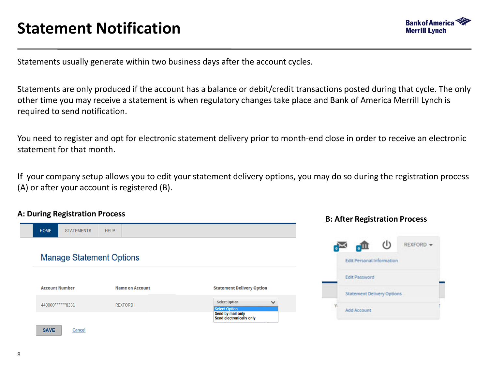

Statements usually generate within two business days after the account cycles.

Statements are only produced if the account has a balance or debit/credit transactions posted during that cycle. The only other time you may receive a statement is when regulatory changes take place and Bank of America Merrill Lynch is required to send notification.

You need to register and opt for electronic statement delivery prior to month-end close in order to receive an electronic statement for that month.

If your company setup allows you to edit your statement delivery options, you may do so during the registration process (A) or after your account is registered (B).